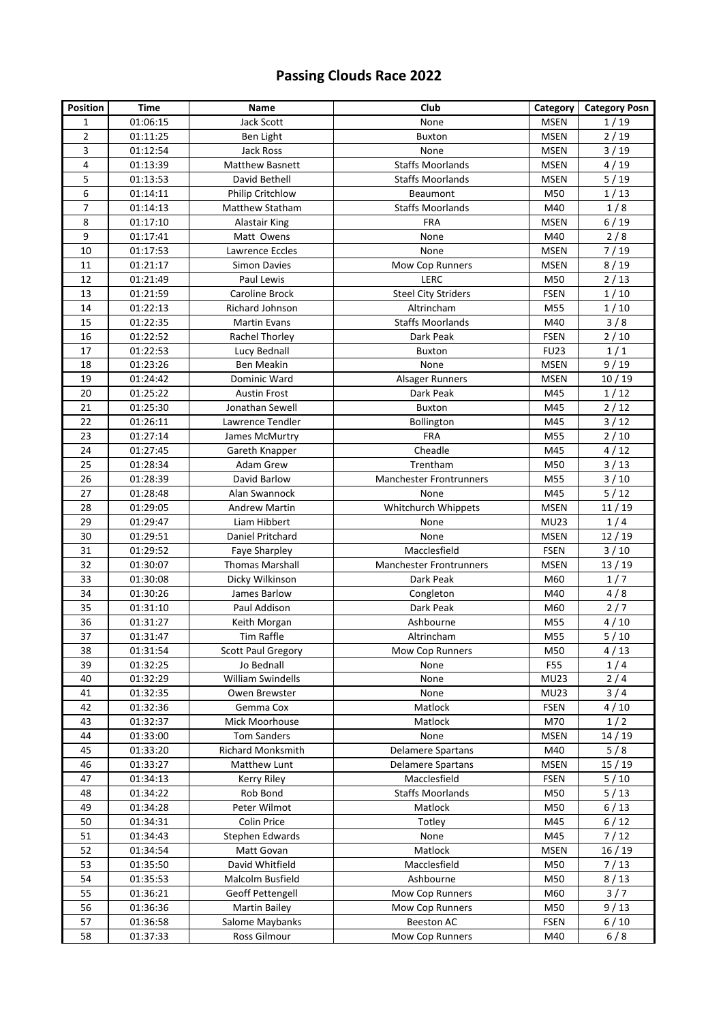## **Passing Clouds Race 2022**

| <b>Position</b> | <b>Time</b>          | Name                                           | Club                             | Category           | <b>Category Posn</b> |
|-----------------|----------------------|------------------------------------------------|----------------------------------|--------------------|----------------------|
| $\mathbf{1}$    | 01:06:15             | Jack Scott                                     | None                             | <b>MSEN</b>        | 1/19                 |
| $\overline{2}$  | 01:11:25             | Ben Light                                      | <b>Buxton</b>                    | <b>MSEN</b>        | 2/19                 |
| 3               | 01:12:54             | Jack Ross                                      | None                             | <b>MSEN</b>        | 3/19                 |
| 4               | 01:13:39             | <b>Matthew Basnett</b>                         | <b>Staffs Moorlands</b>          | <b>MSEN</b>        | 4/19                 |
| 5               | 01:13:53             | David Bethell                                  | <b>Staffs Moorlands</b>          | <b>MSEN</b>        | 5/19                 |
| 6               | 01:14:11             | Philip Critchlow                               | Beaumont                         | M50                | 1/13                 |
| 7               | 01:14:13             | Matthew Statham                                | <b>Staffs Moorlands</b>          | M40                | 1/8                  |
| 8               | 01:17:10             | Alastair King                                  | <b>FRA</b>                       | <b>MSEN</b>        | 6/19                 |
| 9               | 01:17:41             | Matt Owens                                     | None                             | M40                | 2/8                  |
| 10              | 01:17:53             | Lawrence Eccles                                | None                             | <b>MSEN</b>        | 7/19                 |
| 11              | 01:21:17             | <b>Simon Davies</b>                            | Mow Cop Runners                  | <b>MSEN</b>        | 8/19                 |
| 12              | 01:21:49             | Paul Lewis                                     | LERC                             | M50                | 2/13                 |
| 13              | 01:21:59             | <b>Caroline Brock</b>                          | <b>Steel City Striders</b>       | <b>FSEN</b>        | 1/10                 |
| 14              | 01:22:13             | Richard Johnson                                | Altrincham                       | M55                | 1/10                 |
| 15              | 01:22:35             | <b>Martin Evans</b>                            | <b>Staffs Moorlands</b>          | M40                | 3/8                  |
| 16              | 01:22:52             | Rachel Thorley                                 | Dark Peak                        | <b>FSEN</b>        | 2/10                 |
| 17              | 01:22:53             | Lucy Bednall                                   | Buxton                           | <b>FU23</b>        | 1/1                  |
| 18              | 01:23:26             | Ben Meakin                                     | None                             | <b>MSEN</b>        | 9/19                 |
| 19              | 01:24:42             | Dominic Ward                                   | Alsager Runners                  | <b>MSEN</b>        | 10/19                |
| 20              | 01:25:22             | <b>Austin Frost</b>                            | Dark Peak                        | M45                | 1/12                 |
| 21              | 01:25:30             | Jonathan Sewell                                | <b>Buxton</b>                    | M45                | 2/12                 |
| 22              | 01:26:11             | Lawrence Tendler                               | Bollington                       | M45                | $3/12$               |
| 23              | 01:27:14             | James McMurtry                                 | FRA                              | M55                | 2/10                 |
| 24              | 01:27:45             | Gareth Knapper                                 | Cheadle                          | M45                | 4/12                 |
| 25              | 01:28:34             | Adam Grew                                      | Trentham                         | M50                | $3/13$               |
| 26              | 01:28:39             | David Barlow                                   | <b>Manchester Frontrunners</b>   | M55                | $3/10$               |
| 27              | 01:28:48             | Alan Swannock                                  | None                             | M45                | $5/12$               |
| 28              | 01:29:05             | <b>Andrew Martin</b>                           | Whitchurch Whippets              | <b>MSEN</b>        | 11/19                |
| 29              | 01:29:47             | Liam Hibbert                                   | None                             | <b>MU23</b>        | 1/4                  |
| 30              | 01:29:51             | Daniel Pritchard                               | None                             | <b>MSEN</b>        | 12/19                |
| 31              | 01:29:52             | Faye Sharpley                                  | Macclesfield                     | <b>FSEN</b>        | $3/10$               |
| 32              | 01:30:07             | <b>Thomas Marshall</b>                         | <b>Manchester Frontrunners</b>   | <b>MSEN</b>        | 13/19                |
| 33              | 01:30:08             | Dicky Wilkinson                                | Dark Peak                        | M60                | 1/7                  |
| 34              | 01:30:26             | James Barlow                                   | Congleton                        | M40                | 4/8                  |
| 35              | 01:31:10             | Paul Addison                                   | Dark Peak                        | M60                | 2/7                  |
| 36              | 01:31:27             | Keith Morgan                                   | Ashbourne                        | M55                | 4/10                 |
| 37              | 01:31:47             | Tim Raffle                                     | Altrincham                       | M55                | $5/10$               |
| 38              | 01:31:54             | <b>Scott Paul Gregory</b>                      | Mow Cop Runners                  | M50                | 4/13                 |
| 39              | 01:32:25             | Jo Bednall                                     | None                             | F55                | 1/4                  |
| 40              | 01:32:29             | William Swindells                              | None                             | <b>MU23</b>        | 2/4                  |
| 41              | 01:32:35             | Owen Brewster                                  | None                             | <b>MU23</b>        | 3/4                  |
| 42<br>43        | 01:32:36             | Gemma Cox                                      | Matlock                          | <b>FSEN</b>        | 4/10                 |
| 44              | 01:32:37             | Mick Moorhouse                                 | Matlock                          | M70                | 1/2                  |
| 45              | 01:33:00<br>01:33:20 | <b>Tom Sanders</b><br><b>Richard Monksmith</b> | None<br><b>Delamere Spartans</b> | <b>MSEN</b><br>M40 | 14/19<br>5/8         |
| 46              | 01:33:27             | Matthew Lunt                                   | <b>Delamere Spartans</b>         | <b>MSEN</b>        |                      |
| 47              | 01:34:13             |                                                | Macclesfield                     | <b>FSEN</b>        | 15 / 19<br>5/10      |
| 48              | 01:34:22             | Kerry Riley<br>Rob Bond                        | <b>Staffs Moorlands</b>          | M50                | 5/13                 |
| 49              | 01:34:28             | Peter Wilmot                                   | Matlock                          | M50                | 6/13                 |
| 50              | 01:34:31             | Colin Price                                    | Totley                           | M45                | $6/12$               |
| 51              | 01:34:43             | Stephen Edwards                                | None                             | M45                | 7/12                 |
| 52              | 01:34:54             | Matt Govan                                     | Matlock                          | <b>MSEN</b>        | 16/19                |
| 53              | 01:35:50             | David Whitfield                                | Macclesfield                     | M50                | $7/13$               |
| 54              | 01:35:53             | Malcolm Busfield                               | Ashbourne                        | M50                | 8/13                 |
| 55              | 01:36:21             | Geoff Pettengell                               | Mow Cop Runners                  | M60                | 3/7                  |
| 56              | 01:36:36             | <b>Martin Bailey</b>                           | Mow Cop Runners                  | M50                | 9/13                 |
| 57              | 01:36:58             | Salome Maybanks                                | <b>Beeston AC</b>                | <b>FSEN</b>        | $6/10$               |
| 58              | 01:37:33             | Ross Gilmour                                   | Mow Cop Runners                  | M40                | 6/8                  |